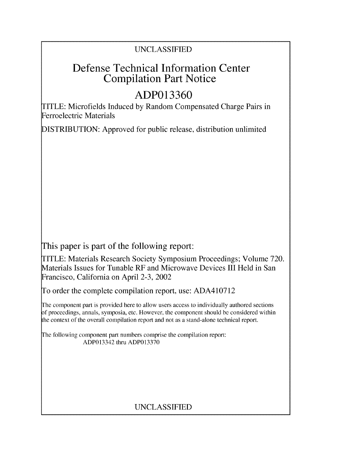# UNCLASSIFIED

# Defense Technical Information Center Compilation Part Notice

# **ADP013360**

TITLE: Microfields Induced by Random Compensated Charge Pairs in Ferroelectric Materials

DISTRIBUTION: Approved for public release, distribution unlimited

This paper is part of the following report:

TITLE: Materials Research Society Symposium Proceedings; Volume 720. Materials Issues for Tunable RF and Microwave Devices III Held in San Francisco, California on April 2-3, 2002

To order the complete compilation report, use: ADA410712

The component part is provided here to allow users access to individually authored sections **)f** proceedings, annals, symposia, etc. However, the component should be considered within [he context of the overall compilation report and not as a stand-alone technical report.

The following component part numbers comprise the compilation report: ADP013342 thru ADP013370

# UNCLASSIFIED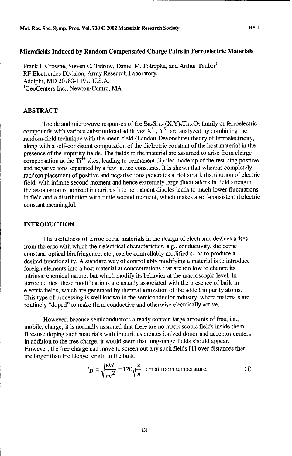# Microfields Induced **by** Random Compensated Charge Pairs in Ferroelectric Materials

Frank J. Crowne, Steven C. Tidrow, Daniel M. Potrepka, and Arthur Tauber' RF Electronics Division, Army Research Laboratory, Adelphi, MD 20783-1197, U.S.A. 'GeoCenters Inc., Newton-Centre, MA

# ABSTRACT

The dc and microwave responses of the  $Ba_{x}Sr_{1-x}(X,Y)_{y}Ti_{1-y}O_{3}$  family of ferroelectric compounds with various substitutional additives  $X^{3+}$ ,  $Y^{5+}$  are analyzed by combining the random-field technique with the mean-field (Landau-Devonshire) theory of ferroelectricity, along with a self-consistent computation of the dielectric constant of the host material in the presence of the impurity fields. The fields in the material are assumed to arise from charge compensation at the  $Ti<sup>4+</sup>$  sites, leading to permanent dipoles made up of the resulting positive and negative ions separated by a few lattice constants. It is shown that whereas completely random placement of positive and negative ions generates a Holtsmark distribution of electric field, with infinite second moment and hence extremely large fluctuations in field strength, the association of ionized impurities into permanent dipoles leads to much lower fluctuations in field and a distribution with finite second moment, which makes a self-consistent dielectric constant meaningful.

### **INTRODUCTION**

The usefulness of ferroelectric materials in the design of electronic devices arises from the ease with which their electrical characteristics, e.g., conductivity, dielectric constant, optical birefringence, etc., can be controllably modified so as to produce a desired functionality. A standard way of controllably modifying a material is to introduce foreign elements into a host material at concentrations that are too low to change its intrinsic chemical nature, but which modify its behavior at the macroscopic level. In ferroelectrics, these modifications are usually associated with the presence of built-in electric fields, which are generated by thermal ionization of the added impurity atoms. This type of processing is well known in the semiconductor industry, where materials are routinely "doped" to make them conductive and otherwise electrically active.

However, because semiconductors already contain large amounts of free, i.e., mobile, charge, it is normally assumed that there are no macroscopic fields inside them. Because doping such materials with impurities creates ionized donor and acceptor centers in addition to the free charge, it would seem that long-range fields should appear. However, the free charge can move to screen out any such fields **[1]** over distances that are larger than the Debye length in the bulk:

$$
l_D = \sqrt{\frac{\varepsilon kT}{ne^2}} = 120\sqrt{\frac{\varepsilon}{n}}
$$
 cm at room temperature, (1)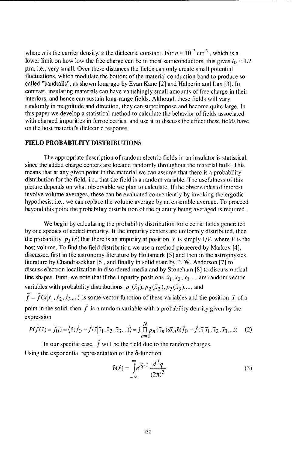where *n* is the carrier density,  $\varepsilon$  the dielectric constant. For  $n \approx 10^{12}$  cm<sup>-3</sup>, which is a lower limit on how low the free charge can be in most semiconductors, this gives  $l_p \approx 1.2$ um, i.e., very small. Over these distances the fields can only create small potential fluctuations, which modulate the bottom of the material conduction band to produce socalled "bandtails", as shown long ago by Evan Kane [2] and Halperin and Lax [3]. In contrast, insulating materials can have vanishingly small amounts of free charge in their interiors, and hence can sustain long-range fields. Although these fields will vary randomly in magnitude and direction, they can superimpose and become quite large. In this paper we develop a statistical method to calculate the behavior of fields associated with charged impurities in ferroelectrics, and use it to discuss the effect these fields have on the host material's dielectric response.

#### **FIELD** PROBABILITY **DISTRIBUTIONS**

The appropriate description of random electric fields in an insulator is statistical, since the added charge centers are located randomly throughout the material bulk. This means that at any given point in the material we can assume that there is a probability distribution for the field, i.e., that the field is a random variable. The usefulness of this picture depends on what observable we plan to calculate. If the observables of interest involve volume averages, these can be evaluated conveniently by invoking the ergodic hypothesis, i.e., we can replace the volume average by an ensemble average. To proceed beyond this point the probability distribution of the quantity being averaged is required.

We begin by calculating the probability distribution for electric fields generated by one species of added impurity. If the impurity centers are uniformly distributed, then the probability  $p_i(\vec{x})$  that there is an impurity at position  $\vec{x}$  is simply  $1/V$ , where V is the host volume. To find the field distribution we use a method pioneered by Markov [4], discussed first in the astronomy literature by Holtsmark [5] and then in the astrophysics literature by Chandrasekhar [6], and finally in solid state by P. W. Anderson [7] to discuss electron localization in disordered media and by Stoneham [8] to discuss optical line shapes. First, we note that if the impurity positions  $\vec{x}_1, \vec{x}_2, \vec{x}_3, \dots$  are random vector variables with probability distributions  $p_1(\vec{x}_1)$ ,  $p_2(\vec{x}_2)$ ,  $p_3(\vec{x}_3)$ ,..., and  $\vec{f} = \vec{f}(\vec{x} | \vec{x}_1, \vec{x}_2, \vec{x}_3, ...)$  is some vector function of these variables and the position  $\vec{x}$  of a

point in the solid, then  $\vec{f}$  is a random variable with a probability density given by the expression

$$
P(\vec{f}(\vec{x}) = \vec{f}_0) = \left\langle \delta(\vec{f}_0 - \vec{f}(\vec{x}|\vec{x}_1, \vec{x}_2, \vec{x}_3, \ldots) \right\rangle = \int \prod_{n=1}^{N} p_n(\vec{x}_n) d\vec{x}_n \delta(\vec{f}_0 - \vec{f}(\vec{x}|\vec{x}_1, \vec{x}_2, \vec{x}_3, \ldots)) \tag{2}
$$

In our specific case,  $\hat{f}$  will be the field due to the random charges. Using the exponential representation of the  $\delta$ -function

$$
\delta(\vec{x}) = \int_{-\infty}^{\infty} e^{i\vec{q}\cdot\vec{x}} \frac{d^3q}{(2\pi)^3}
$$
 (3)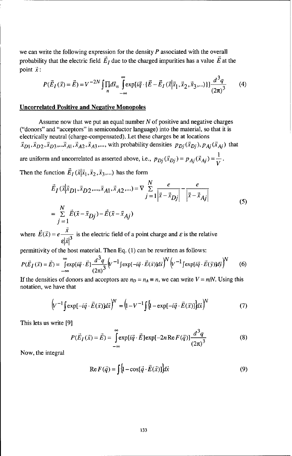we can write the following expression for the density  $P$  associated with the overall probability that the electric field  $\vec{E}_I$  due to the charged impurities has a value  $\vec{E}$  at the point  $\vec{x}$ :

$$
P(\vec{E}_I(\vec{x}) = \vec{E}) = V^{-2N} \iint_R d\vec{x}_n \int_{-\infty}^{\infty} \exp[i\vec{q} \cdot {\vec{E} - \vec{E}_I(\vec{x}|\vec{x}_1, \vec{x}_2, \vec{x}_3, \ldots)})] \frac{d^3q}{(2\pi)^3}
$$
(4)

# **Uncorrelated Positive and Negative Monopoles**

Assume now that we put an equal number  $N$  of positive and negative charges ("donors" and "acceptors" in semiconductor language) into the material, so that it is electrically neutral (charge-compensated). Let these charges be at locations  $\vec{x}_{D1}$ ,  $\vec{x}_{D2}$ ,  $\vec{x}_{D3}$ ,... $\vec{x}_{A1}$ ,  $\vec{x}_{A2}$ ,  $\vec{x}_{A3}$ ,..., with probability densities  $p_{Di}(\vec{x}_{Di})$ ,  $p_{Ai}(\vec{x}_{Ai})$  that are uniform and uncorrelated as asserted above, i.e.,  $p_{Dj}(\vec{x}_{Dj}) = p_{Aj}(\vec{x}_{Aj}) = \frac{1}{V}$ .

Then the function  $\vec{E}_I(\vec{x}|\vec{x}_1, \vec{x}_2, \vec{x}_3,...)$  has the form

$$
\vec{E}_I(\vec{x}|\vec{x}_{D1}, \vec{x}_{D2}, ..., \vec{x}_{A1}, \vec{x}_{A2}, ...) = \nabla \sum_{j=1}^{N} \frac{e}{|\vec{x} - \vec{x}_{Dj}|} - \frac{e}{|\vec{x} - \vec{x}_{Aj}|}
$$
\n
$$
= \sum_{j=1}^{N} \vec{E}(\vec{x} - \vec{x}_{Dj}) - \vec{E}(\vec{x} - \vec{x}_{Aj})
$$
\n(5)

where  $\vec{E}(\vec{x}) = e \frac{x}{\sqrt{2}}$  is the electric field of a point charge and  $\varepsilon$  is the relative  $\epsilon$ <sub> $|x|$ </sub> $\epsilon$ 

permittivity of the host material. Then Eq. (1) can be rewritten as follows:

$$
P(\vec{E}_I(\vec{x}) = \vec{E}) = \int_{-\infty}^{\infty} \exp[i\vec{q} \cdot \vec{E}] \frac{d^3q}{(2\pi)^3} \left[ V^{-1} \int \exp[-i\vec{q} \cdot \vec{E}(\vec{x})] d\vec{x} \right]^N \left[ V^{-1} \int \exp[i\vec{q} \cdot \vec{E}(\vec{y})] d\vec{y} \right]^N \tag{6}
$$

If the densities of donors and acceptors are  $n_D = n_A \equiv n$ , we can write  $V = n/N$ . Using this notation, we have that

$$
\left(V^{-1}\int \exp\left[-i\vec{q}\cdot\vec{E}(\vec{x})\right]d\vec{x}\right)^{N} = \left(1 - V^{-1}\int \left\{1 - \exp\left[-i\vec{q}\cdot\vec{E}(\vec{x})\right]\right\}d\vec{x}\right)^{N} \tag{7}
$$

This lets us write [9]

$$
P(\vec{E}_I(\vec{x}) = \vec{E}) = \int_{-\infty}^{\infty} \exp[i\vec{q} \cdot \vec{E}] \exp[-2n \operatorname{Re} F(\vec{q})] \frac{d^3q}{(2\pi)^3}
$$
(8)

Now, the integral

$$
\operatorname{Re} F(\vec{q}) = \int \{1 - \cos[\vec{q} \cdot \vec{E}(\vec{x})] \} d\vec{x}
$$
 (9)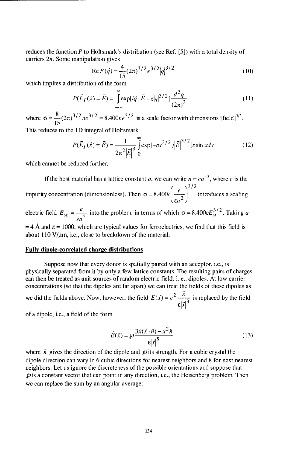reduces the function  $P$  to Holtsmark's distribution (see Ref. [5]) with a total density of carriers 2n. Some manipulation gives

Re 
$$
F(\vec{q}) = \frac{4}{15} (2\pi)^{3/2} e^{3/2} |q|^{3/2}
$$
 (10)

which implies a distribution of the form

$$
P(\vec{E}_I(\vec{x}) = \vec{E}) = \int_{-\infty}^{\infty} \exp[i\vec{q} \cdot \vec{E} - \sigma]\vec{q}|^{3/2} \, J \frac{d^3q}{(2\pi)^3}
$$
 (11)

where  $\sigma = \frac{8}{15} (2\pi)^{3/2} n e^{3/2} = 8.400 n e^{3/2}$  is a scale factor with dimensions [field]<sup>3/2</sup>. This reduces to the 1D integral of Holtsmark

$$
P(\vec{E}_I(\vec{x}) = \vec{E}) = \frac{1}{2\pi^2 |\vec{E}|^3} \int_0^{\infty} \exp[-\sigma x^{3/2} / |\vec{E}|^{3/2}] x \sin x dx
$$
 (12)

which cannot be reduced further.

If the host material has a lattice constant a, we can write  $n = ca^{-3}$ , where c is the impurity concentration (dimensionless). Then  $\sigma = 8.400 c \left(\frac{e}{\epsilon_0 r^2}\right)^{3/2}$  introduces a scaling

electric field  $E_{sc} = \frac{e}{\epsilon a^2}$  into the problem, in terms of which  $\sigma = 8.400cE_{sc}^{3/2}$ . Taking a  $= 4$  Å and  $\varepsilon = 1000$ , which are typical values for ferroelectrics, we find that this field is

about 110 V/µm, i.e., close to breakdown of the material.

#### Fully dipole-correlated charge distributions

Suppose now that every donor is spatially paired with an acceptor, i.e., is physically separated from it by only a few lattice constants. The resulting pairs of charges can then be treated as unit sources of random electric field, i. e., dipoles. At low carrier concentrations (so that the dipoles are far apart) we can treat the fields of these dipoles as we did the fields above. Now, however, the field  $\vec{E}(\vec{x}) = e^2 \frac{\vec{x}}{\epsilon |\vec{x}|^3}$  is replaced by the field

of a dipole, i.e., a field of the form

$$
\vec{E}(\vec{x}) = \wp \frac{3\vec{x}(\vec{x}\cdot\hat{n}) - x^2\hat{n}}{\epsilon |\vec{x}|^5}
$$
(13)

where  $\vec{n}$  gives the direction of the dipole and  $\wp$  its strength. For a cubic crystal the dipole direction can vary in 6 cubic directions for nearest neighbors and 8 for next nearest neighbors. Let us ignore the discreteness of the possible orientations and suppose that  $\wp$  is a constant vector that can point in any direction, i.e., the Heisenberg problem. Then we can replace the sum by an angular average: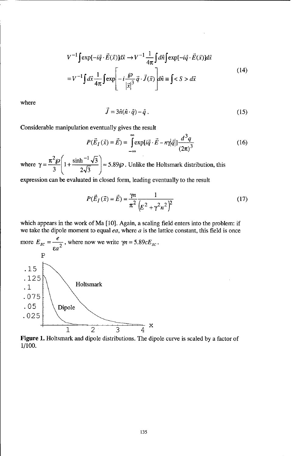$$
V^{-1}\int \exp[-i\vec{q}\cdot\vec{E}(\vec{x})]d\vec{x} \to V^{-1}\frac{1}{4\pi}\int d\hat{n}\int \exp[-i\vec{q}\cdot\vec{E}(\vec{x})]d\vec{x}
$$
  
= 
$$
V^{-1}\int d\vec{x}\frac{1}{4\pi}\int \exp\left[-i\frac{\wp}{|\vec{x}|^{3}}\vec{q}\cdot\vec{J}(\vec{x})\right]d\hat{n} \equiv \int  ~~d\vec{x}~~
$$
 (14)

where

$$
\vec{J} = 3\hat{n}(\hat{n} \cdot \hat{q}) - \hat{q} \tag{15}
$$

Considerable manipulation eventually gives the result

$$
P(\vec{E}_I(\vec{x}) = \vec{E}) = \int_{-\infty}^{\infty} \exp[i\vec{q} \cdot \vec{E} - n\gamma|\vec{q}|] \frac{d^3q}{(2\pi)^3}
$$
(16)

where  $\gamma = \frac{\pi^2 \wp}{3} \left(1 + \frac{\sinh^{-1} \sqrt{3}}{2\sqrt{3}}\right) \approx 5.89\wp$ . Unlike the Holtsmark distribution, this

expression can be evaluated in closed form, leading eventually to the result

$$
P(\vec{E}_I(\vec{x}) = \vec{E}) = \frac{\gamma n}{\pi^2} \frac{1}{\left(E^2 + \gamma^2 n^2\right)^2}
$$
(17)

which appears in the work of Ma [10]. Again, a scaling field enters into the problem: if we take the dipole moment to equal ea, where a is the lattice constant, this field is once



Figure 1. Holtsmark and dipole distributions. The dipole curve is scaled by a factor of 1/100.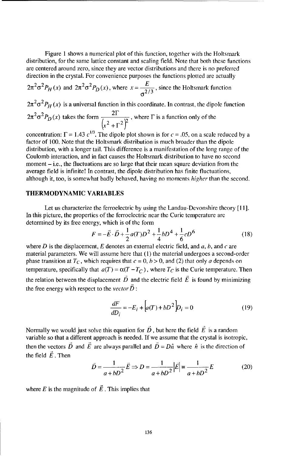Figure 1 shows a numerical plot of this function, together with the Holtsmark distribution, for the same lattice constant and scaling field. Note that both these functions are centered around zero, since they are vector distributions and there is no preferred direction in the crystal. For convenience purposes the functions plotted are actually

$$
2\pi^2 \sigma^2 P_H(x)
$$
 and  $2\pi^2 \sigma^2 P_D(x)$ , where  $x = \frac{E}{\sigma^2/3}$ , since the Holtsmark function

 $2\pi^2 \sigma^2 P_H(x)$  is a universal function in this coordinate. In contrast, the dipole function  $2\pi^2\sigma^2P_D(x)$  takes the form  $\frac{2\Gamma}{(x^2 + \Gamma^2)^2}$ , where  $\Gamma$  is a function only of the

concentration:  $\Gamma = 1.43$   $c^{1/3}$ . The dipole plot shown is for  $c = .05$ , on a scale reduced by a factor of 100. Note that the Holtsmark distribution is much broader than the dipole distribution, with a longer tail. This difference is a manifestation of the long range of the Coulomb interaction, and in fact causes the Holtsmark distribution to have no second moment  $-$  i.e., the fluctuations are so large that their mean square deviation from the average field is infinite! In contrast, the dipole distribution has finite fluctuations, although it, too, is somewhat badly behaved, having no moments *higher* than the second.

#### THERMODYNAMIC VARIABLES

Let us characterize the ferroelectric by using the Landau-Devonshire theory [11]. In this picture, the properties of the ferroelectric near the Curie temperature are determined by its free energy, which is of the form

$$
F = -\vec{E} \cdot \vec{D} + \frac{1}{2}a(T)D^2 + \frac{1}{4}bD^4 + \frac{1}{6}cD^6
$$
 (18)

where D is the displacement, E denotes an external electric field, and a, *b,* and *c* are material parameters. We will assume here that **(1)** the material undergoes a second-order phase transition at  $T_c$ , which requires that  $c = 0$ ,  $b > 0$ , and (2) that only a depends on temperature, specifically that  $a(T) = \alpha(T - T_C)$ , where  $T_C$  is the Curie temperature. Then the relation between the displacement  $\vec{D}$  and the electric field  $\vec{E}$  is found by minimizing the free energy with respect to the *vector*  $\vec{D}$ :

$$
\frac{dF}{dD_i} = -E_i + \left[ a(T) + bD^2 \right] D_i = 0 \tag{19}
$$

Normally we would just solve this equation for  $\vec{D}$ , but here the field  $\vec{E}$  is a random variable so that a different approach is needed. If we assume that the crystal is isotropic, then the vectors  $\vec{D}$  and  $\vec{E}$  are always parallel and  $\vec{D} = D\hat{n}$  where  $\hat{n}$  is the direction of the field  $\vec{E}$ . Then

$$
\vec{D} = \frac{1}{a + bD^2} \vec{E} \Rightarrow D = \frac{1}{a + bD^2} \left| \vec{E} \right| = \frac{1}{a + bD^2} E \tag{20}
$$

where  $E$  is the magnitude of  $\vec{E}$ . This implies that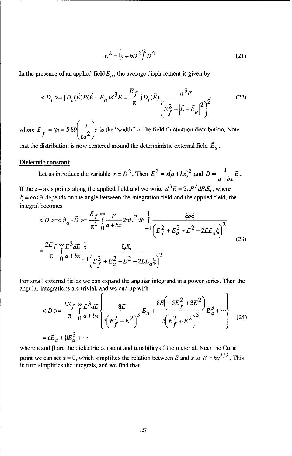$$
E^{2} = (a + bD^{2})^{2} D^{2}
$$
 (21)

In the presence of an applied field  $\vec{E}_a$ , the average displacement is given by

$$
\langle D_i \rangle = \int D_i(\vec{E}) P(\vec{E} - \vec{E}_a) d^3 E = \frac{E_f}{\pi} \int D_i(\vec{E}) \frac{d^3 E}{\left( E_f^2 + |\vec{E} - \vec{E}_a|^2 \right)^2}
$$
(22)

where  $E_f = \gamma n = 5.89 \left( \frac{e}{\epsilon_0^2} \right) c$  is the "width" of the field fluctuation distribution. Note

that the distribution is now centered around the deterministic external field  $\vec{E}_a$ .

#### Dielectric constant

Let us introduce the variable  $x \equiv D^2$ . Then  $E^2 = x(a + bx)^2$  and  $D = \frac{1}{a + bx}E$ . If the z – axis points along the applied field and we write  $d^3E = 2\pi E^2 dE d\xi$ , where  $\xi = \cos\theta$  depends on the angle between the integration field and the applied field, the integral becomes

$$
\langle D \rangle = \langle \hat{n}_a \cdot \vec{D} \rangle = \frac{E_f}{\pi^2} \int_{0}^{\infty} \frac{E}{a + bx} 2\pi E^2 dE \int_{-1}^{1} \frac{\xi d\xi}{\left(E_f^2 + E_a^2 + E^2 - 2E E_a \xi\right)^2}
$$
  

$$
= \frac{2E_f}{\pi} \int_{0}^{\infty} \frac{E^3 dE}{a + bx} \frac{1}{-1} \frac{\xi d\xi}{\left(E_f^2 + E_a^2 + E^2 - 2E E_a \xi\right)^2}
$$
(23)

For small external fields we can expand the angular integrand in a power series. Then the angular integrations are trivial, and we end up with

$$
= \frac{2E_f}{\pi} \int_{0}^{\infty} \frac{E^3 dE}{a + bx} \left\{ \frac{8E}{3(E_f^2 + E^2)} \right\}^{E_a} + \frac{8E(-5E_f^2 + 3E^2)}{5(E_f^2 + E^2)} E_a^3 + \cdots \right\}
$$
(24)  
=  $\varepsilon E_a + \beta E_a^3 + \cdots$ 

where  $\varepsilon$  and  $\beta$  are the dielectric constant and tunability of the material. Near the Curie point we can set  $a = 0$ , which simplifies the relation between E and x to  $E = bx^{3/2}$ . This in turn simplifies the integrals, and we find that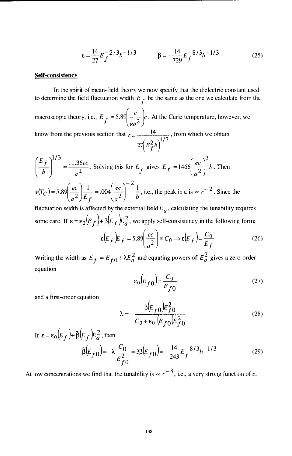$$
\varepsilon = \frac{14}{27} E_f^{-2/3} b^{-1/3} \qquad \beta = -\frac{14}{729} E_f^{-8/3} b^{-1/3} \qquad (25)
$$

## Self-consistency

In the spirit of mean-field theory we now specify that the dielectric constant used to determine the field fluctuation width  $E_f$  be the same as the one we calculate from the macroscopic theory, i.e.,  $E_f = 5.89 \left( \frac{e}{\epsilon_0^2} \right) c$ . At the Curie temperature, however, we know from the previous section that  $\epsilon = \frac{14}{4}$ , from which we obtain  $27 \, E^2_{f} b$  $(E_f)^{1/3}$  11.36ec Solving the *Effec* <sup>3</sup>

$$
\left(\frac{b}{b}\right)^2 = \frac{2(1.50 \text{ eV})}{a^2}
$$
. Solving this for  $E_f$  gives  $E_f = 1466 \left(\frac{1}{a^2}\right) b$ . Then  

$$
\varepsilon(T_C) = 5.89 \left(\frac{ec}{a^2}\right) \frac{1}{E_f} = .004 \left(\frac{ec}{a^2}\right)^{-2} \frac{1}{b}
$$
, i.e., the peak in  $\varepsilon$  is  $\propto c^{-2}$ . Since the

fluctuation width is affected by the external field  $E_a$ , calculating the tunability requires some care. If  $\epsilon = \epsilon_0 (E_f) + \beta (E_f) E_a^2$ , we apply self-consistency in the following form:

$$
\varepsilon \left( E_f \right) E_f = 5.89 \left( \frac{ec}{a^2} \right) = C_0 \Rightarrow \varepsilon \left( E_f \right) = \frac{C_0}{E_f}
$$
 (26)

Writing the width as  $E_f = E_{f0} + \lambda E_a^2$  and equating powers of  $E_a^2$  gives a zero-order equation

$$
\varepsilon_0 \left( E_{f0} \right) = \frac{C_0}{E_{f0}} \tag{27}
$$

and a first-order equation

$$
\lambda = -\frac{\beta \left( E_{f0} \right) E_{f0}^2}{C_0 + \varepsilon_0 \cdot \left( E_{f0} \right) E_{f0}^2}
$$
 (28)

If 
$$
\varepsilon = \varepsilon_0 (E_f) + \tilde{\beta} (E_f) E_a^2
$$
, then  
\n
$$
\tilde{\beta} (E_{f0}) = -\lambda \frac{C_0}{E_{f0}^2} = 3\beta (E_{f0}) = -\frac{14}{243} E_f^{-8/3} b^{-1/3}
$$
\n(29)

At low concentrations we find that the tunability is  $\propto c^{-8}$ , i.e., a very strong function of c.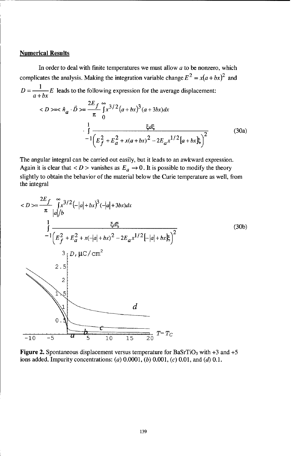## Numerical Results

In order to deal with finite temperatures we must allow  $a$  to be nonzero, which complicates the analysis. Making the integration variable change  $E^2 = x(a + bx)^2$  and  $D = \frac{1}{a + bx} E$  leads to the following expression for the average displacement. *2Ef oo 3/ 2 3*

$$
\langle D \rangle \langle \hat{n}_a \cdot \vec{D} \rangle = \frac{2E_f}{\pi} \int_0^\infty x^{3/2} (a + bx)^3 (a + 3bx) dx
$$

$$
\cdot \int_0^1 \frac{\xi d\xi}{-1 \left( E_f^2 + E_a^2 + x(a + bx)^2 - 2E_a x^{1/2} [a + bx] \xi \right)^2}
$$
(30a)

The angular integral can be carried out easily, but it leads to an awkward expression. Again it is clear that  $\langle D \rangle$  vanishes as  $E_a \rightarrow 0$ . It is possible to modify the theory slightly to obtain the behavior of the material below the Curie temperature as well, from the integral

$$
\langle D \rangle = \frac{2E_f}{\pi} \int_{|a|/b}^{\infty} \int_{1}^{3/2} (-|a| + bx)^3 (-|a| + 3bx) dx
$$
  
\n
$$
\int_{-1}^{1} \frac{\xi d\xi}{\left(E_f^2 + E_a^2 + x(-|a| + bx)^2 - 2E_a x^{1/2}[-|a| + bx]\xi\right)^2}
$$
  
\n
$$
\int_{2}^{3} \left| D, \mu C / \text{ cm}^2 \right|
$$
  
\n
$$
\int_{0}^{2} \left| \int_{0}^{2} \frac{1}{\sqrt{2\pi}} \frac{1}{\sqrt{2\pi}} \frac{1}{\sqrt{2\pi}} \frac{1}{\sqrt{2\pi}} \frac{1}{\sqrt{2\pi}} \right| = \frac{1}{\sqrt{2\pi}} \int_{0}^{\infty} \frac{1}{\sqrt{2\pi}} \frac{1}{\sqrt{2\pi}} \int_{0}^{\infty} T - T_C
$$

Figure 2. Spontaneous displacement versus temperature for BaSrTiO<sub>3</sub> with  $+3$  and  $+5$ ions added. Impurity concentrations: (a) 0.0001, *(b)* 0.001, *(c)* 0.01, and (d) 0.1.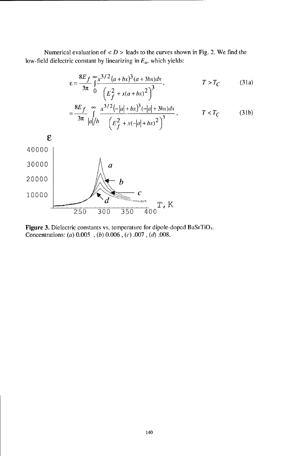Numerical evaluation of  $\langle D \rangle$  leads to the curves shown in Fig. 2. We find the low-field dielectric constant by linearizing in  $E_a$ , which yields:

$$
\varepsilon = \frac{8E_f}{3\pi} \int_{0}^{\infty} \frac{x^{3/2} (a + bx)^3 (a + 3bx) dx}{\left( E_f^2 + x(a + bx)^2 \right)^3},
$$
  $T > T_C$  (31a)

$$
= \frac{8E_f}{3\pi} \int_{|a|/b}^{\infty} \frac{x^{3/2}(-|a|+bx)^3(-|a|+3bx)dx}{\left(E_f^2 + x(-|a|+bx)^2\right)^3}, \qquad T < T_C \qquad (31b)
$$



Figure 3. Dielectric constants vs. temperature for dipole-doped BaSrTiO3. Concentrations: (a) 0.005 *, (b)* **0.006,** (c) .007, *(d)* **.008.**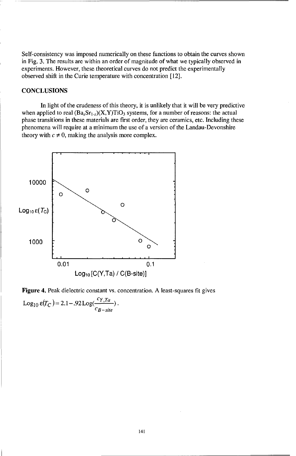Self-consistency was imposed numerically on these functions to obtain the curves shown in Fig. 3. The results are within an order of magnitude of what we typically observed in experiments. However, these theoretical curves do not predict the experimentally observed shift in the Curie temperature with concentration [12].

## **CONCLUSIONS**

In light of the crudeness of this theory, it is unlikely that it will be very predictive when applied to real  $(Ba<sub>x</sub>Sr<sub>1-x</sub>)(X,Y)TiO<sub>3</sub>$  systems, for a number of reasons: the actual phase transitions in these materials are first order, they are ceramics, etc. Including these phenomena will require at a minimum the use of a version of the Landau-Devonshire theory with  $c \neq 0$ , making the analysis more complex.



Figure 4. Peak dielectric constant vs. concentration. A least-squares fit gives Log<sub>10</sub>  $\varepsilon(T_C) = 2.1 - .92$  Log( $\frac{C_T, Ia}{C_{B-site}}$